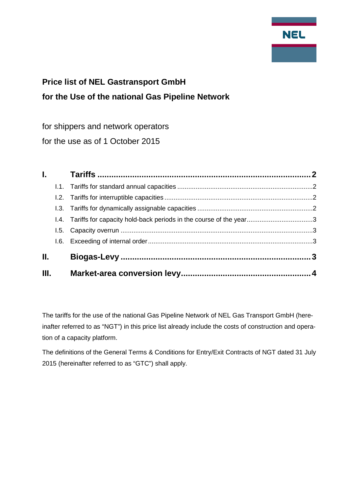

# **Price list of NEL Gastransport GmbH for the Use of the national Gas Pipeline Network**

for shippers and network operators

for the use as of 1 October 2015

| <b>Letter</b> |    |  |
|---------------|----|--|
|               |    |  |
|               |    |  |
|               |    |  |
|               |    |  |
|               |    |  |
|               |    |  |
|               |    |  |
|               |    |  |
|               | Ш. |  |

The tariffs for the use of the national Gas Pipeline Network of NEL Gas Transport GmbH (hereinafter referred to as "NGT") in this price list already include the costs of construction and operation of a capacity platform.

The definitions of the General Terms & Conditions for Entry/Exit Contracts of NGT dated 31 July 2015 (hereinafter referred to as "GTC") shall apply.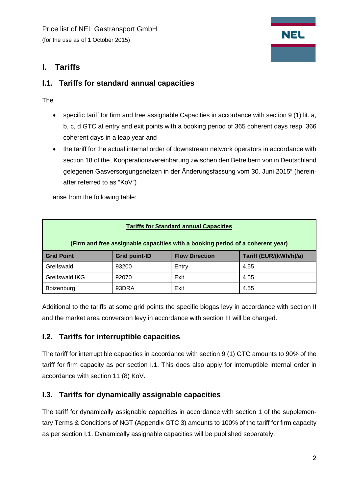

# <span id="page-1-0"></span>**I. Tariffs**

#### <span id="page-1-1"></span>**I.1. Tariffs for standard annual capacities**

The

- specific tariff for firm and free assignable Capacities in accordance with section 9 (1) lit. a, b, c, d GTC at entry and exit points with a booking period of 365 coherent days resp. 366 coherent days in a leap year and
- the tariff for the actual internal order of downstream network operators in accordance with section 18 of the "Kooperationsvereinbarung zwischen den Betreibern von in Deutschland gelegenen Gasversorgungsnetzen in der Änderungsfassung vom 30. Juni 2015" (hereinafter referred to as "KoV")

arise from the following table:

| <b>Tariffs for Standard annual Capacities</b>                                  |                      |                       |                        |  |  |
|--------------------------------------------------------------------------------|----------------------|-----------------------|------------------------|--|--|
| (Firm and free assignable capacities with a booking period of a coherent year) |                      |                       |                        |  |  |
| <b>Grid Point</b>                                                              | <b>Grid point-ID</b> | <b>Flow Direction</b> | Tariff (EUR/(kWh/h)/a) |  |  |
| Greifswald                                                                     | 93200                | Entry                 | 4.55                   |  |  |
| Greifswald IKG                                                                 | 92070                | Exit                  | 4.55                   |  |  |
| Boizenburg                                                                     | 93DRA                | Exit                  | 4.55                   |  |  |

Additional to the tariffs at some grid points the specific biogas levy in accordance with section II and the market area conversion levy in accordance with section III will be charged.

#### <span id="page-1-2"></span>**I.2. Tariffs for interruptible capacities**

The tariff for interruptible capacities in accordance with section 9 (1) GTC amounts to 90% of the tariff for firm capacity as per section I.1. This does also apply for interruptible internal order in accordance with section 11 (8) KoV.

#### <span id="page-1-3"></span>**I.3. Tariffs for dynamically assignable capacities**

The tariff for dynamically assignable capacities in accordance with section 1 of the supplementary Terms & Conditions of NGT (Appendix GTC 3) amounts to 100% of the tariff for firm capacity as per section I.1. Dynamically assignable capacities will be published separately.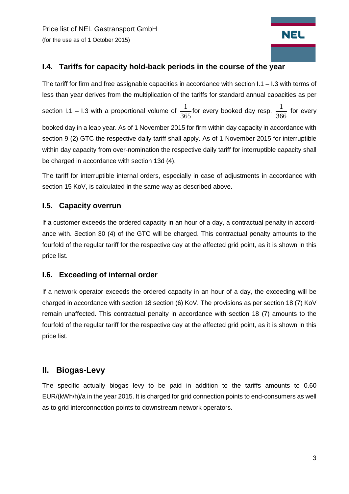Price list of NEL Gastransport GmbH (for the use as of 1 October 2015)

# **NEL**

#### <span id="page-2-0"></span>**I.4. Tariffs for capacity hold-back periods in the course of the year**

The tariff for firm and free assignable capacities in accordance with section I.1 – I.3 with terms of less than year derives from the multiplication of the tariffs for standard annual capacities as per section I.1 – I.3 with a proportional volume of  $\frac{1}{365}$  for every booked day resp.  $\frac{1}{366}$  for every booked day in a leap year. As of 1 November 2015 for firm within day capacity in accordance with section 9 (2) GTC the respective daily tariff shall apply. As of 1 November 2015 for interruptible within day capacity from over-nomination the respective daily tariff for interruptible capacity shall be charged in accordance with section 13d (4).

The tariff for interruptible internal orders, especially in case of adjustments in accordance with section 15 KoV, is calculated in the same way as described above.

#### <span id="page-2-1"></span>**I.5. Capacity overrun**

If a customer exceeds the ordered capacity in an hour of a day, a contractual penalty in accordance with. Section 30 (4) of the GTC will be charged. This contractual penalty amounts to the fourfold of the regular tariff for the respective day at the affected grid point, as it is shown in this price list.

#### <span id="page-2-2"></span>**I.6. Exceeding of internal order**

If a network operator exceeds the ordered capacity in an hour of a day, the exceeding will be charged in accordance with section 18 section (6) KoV. The provisions as per section 18 (7) KoV remain unaffected. This contractual penalty in accordance with section 18 (7) amounts to the fourfold of the regular tariff for the respective day at the affected grid point, as it is shown in this price list.

# <span id="page-2-3"></span>**II. Biogas-Levy**

The specific actually biogas levy to be paid in addition to the tariffs amounts to 0.60 EUR/(kWh/h)/a in the year 2015. It is charged for grid connection points to end-consumers as well as to grid interconnection points to downstream network operators.